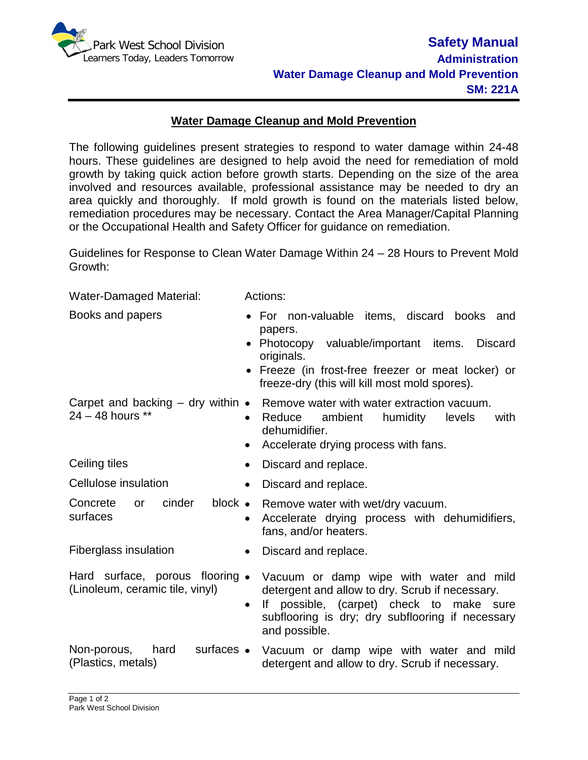

Water-Damaged Material: Actions:

## **Water Damage Cleanup and Mold Prevention**

The following guidelines present strategies to respond to water damage within 24-48 hours. These guidelines are designed to help avoid the need for remediation of mold growth by taking quick action before growth starts. Depending on the size of the area involved and resources available, professional assistance may be needed to dry an area quickly and thoroughly. If mold growth is found on the materials listed below, remediation procedures may be necessary. Contact the Area Manager/Capital Planning or the Occupational Health and Safety Officer for guidance on remediation.

Guidelines for Response to Clean Water Damage Within 24 – 28 Hours to Prevent Mold Growth:

| vvater-Damaged Material:                                           | <b>ACTIONS:</b>                                                                                                                                                                                                                         |
|--------------------------------------------------------------------|-----------------------------------------------------------------------------------------------------------------------------------------------------------------------------------------------------------------------------------------|
| Books and papers                                                   | For non-valuable items, discard books<br>and<br>papers.<br>• Photocopy valuable/important items.<br><b>Discard</b><br>originals.<br>• Freeze (in frost-free freezer or meat locker) or<br>freeze-dry (this will kill most mold spores). |
| Carpet and backing $-$ dry within $\bullet$<br>24 - 48 hours **    | Remove water with water extraction vacuum.<br>ambient humidity<br>Reduce<br>with<br>levels<br>$\bullet$<br>dehumidifier.<br>Accelerate drying process with fans.<br>$\bullet$                                                           |
| Ceiling tiles                                                      | Discard and replace.<br>$\bullet$                                                                                                                                                                                                       |
| Cellulose insulation                                               | Discard and replace.<br>$\bullet$                                                                                                                                                                                                       |
| cinder<br>block •<br>Concrete<br>or<br>surfaces                    | Remove water with wet/dry vacuum.<br>Accelerate drying process with dehumidifiers,<br>$\bullet$<br>fans, and/or heaters.                                                                                                                |
| Fiberglass insulation                                              | Discard and replace.<br>$\bullet$                                                                                                                                                                                                       |
| Hard surface, porous flooring •<br>(Linoleum, ceramic tile, vinyl) | Vacuum or damp wipe with water and mild<br>detergent and allow to dry. Scrub if necessary.<br>If possible, (carpet) check to make sure<br>$\bullet$<br>subflooring is dry; dry subflooring if necessary<br>and possible.                |
| surfaces •<br>Non-porous,<br>hard<br>(Plastics, metals)            | Vacuum or damp wipe with water and mild<br>detergent and allow to dry. Scrub if necessary.                                                                                                                                              |